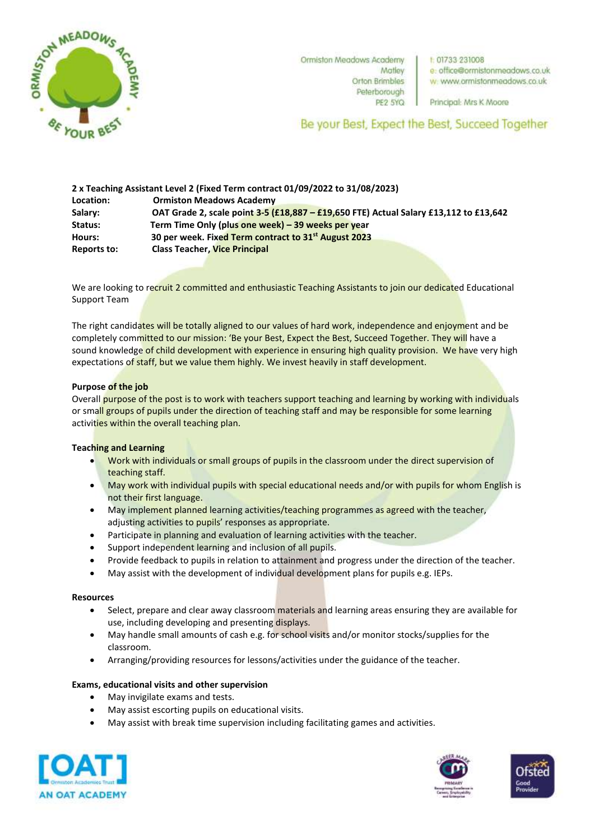

Ormiston Meadows Academy Matley **Orton Brimbles** Peterborough

1:01733 231008 e: office@ormistonmeadows.co.uk w: www.ormistonmeadows.co.uk

PE2 5YQ Principal: Mrs K Moore

Be your Best, Expect the Best, Succeed Together

|                    | 2 x Teaching Assistant Level 2 (Fixed Term contract 01/09/2022 to 31/08/2023)         |
|--------------------|---------------------------------------------------------------------------------------|
| Location:          | <b>Ormiston Meadows Academy</b>                                                       |
| Salary:            | OAT Grade 2, scale point 3-5 (£18,887 - £19,650 FTE) Actual Salary £13,112 to £13,642 |
| <b>Status:</b>     | Term Time Only (plus one week) – 39 weeks per year                                    |
| Hours:             | 30 per week. Fixed Term contract to 31 <sup>st</sup> August 2023                      |
| <b>Reports to:</b> | <b>Class Teacher, Vice Principal</b>                                                  |

We are looking to recruit 2 committed and enthusiastic Teaching Assistants to join our dedicated Educational Support Team

The right candidates will be totally aligned to our values of hard work, independence and enjoyment and be completely committed to our mission: 'Be your Best, Expect the Best, Succeed Together. They will have a sound knowledge of child development with experience in ensuring high quality provision. We have very high expectations of staff, but we value them highly. We invest heavily in staff development.

## **Purpose of the job**

Overall purpose of the post is to work with teachers support teaching and learning by working with individuals or small groups of pupils under the direction of teaching staff and may be responsible for some learning activities within the overall teaching plan.

## **Teaching and Learning**

- Work with individuals or small groups of pupils in the classroom under the direct supervision of teaching staff.
- May work with individual pupils with special educational needs and/or with pupils for whom English is not their first language.
- May implement planned learning activities/teaching programmes as agreed with the teacher, adjusting activities to pupils' responses as appropriate.
- Participate in planning and evaluation of learning activities with the teacher.
- Support independent learning and inclusion of all pupils.
- Provide feedback to pupils in relation to attainment and progress under the direction of the teacher.
- May assist with the development of individual development plans for pupils e.g. IEPs.

# **Resources**

- Select, prepare and clear away classroom materials and learning areas ensuring they are available for use, including developing and presenting displays.
- May handle small amounts of cash e.g. for school visits and/or monitor stocks/supplies for the classroom.
- Arranging/providing resources for lessons/activities under the guidance of the teacher.

### **Exams, educational visits and other supervision**

- May invigilate exams and tests.
- May assist escorting pupils on educational visits.
- May assist with break time supervision including facilitating games and activities.





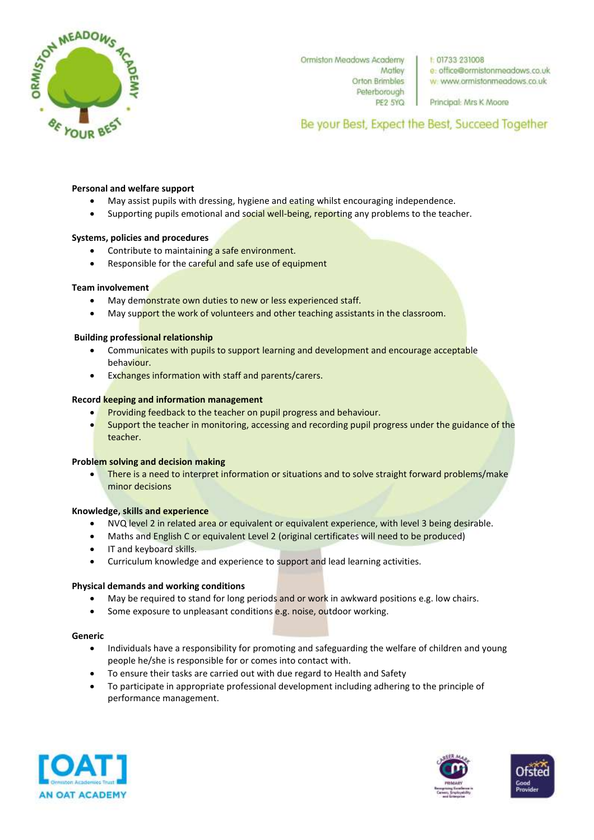

Ormiston Meadows Academy Matley **Orton Brimbles** Peterborough PE2 5YQ 1:01733 231008 e: office@ormistonmeadows.co.uk w: www.ormistonmeadows.co.uk

Principal: Mrs K Moore

Be your Best, Expect the Best, Succeed Together

### **Personal and welfare support**

- May assist pupils with dressing, hygiene and eating whilst encouraging independence.
- Supporting pupils emotional and social well-being, reporting any problems to the teacher.

#### **Systems, policies and procedures**

- Contribute to maintaining a safe environment.
- Responsible for the careful and safe use of equipment

#### **Team involvement**

- May demonstrate own duties to new or less experienced staff.
- May support the work of volunteers and other teaching assistants in the classroom.

### **Building professional relationship**

- Communicates with pupils to support learning and development and encourage acceptable behaviour.
- Exchanges information with staff and parents/carers.

### **Record keeping and information management**

- Providing feedback to the teacher on pupil progress and behaviour.
- Support the teacher in monitoring, accessing and recording pupil progress under the guidance of the teacher.

#### **Problem solving and decision making**

 There is a need to interpret information or situations and to solve straight forward problems/make minor decisions

#### **Knowledge, skills and experience**

- NVQ level 2 in related area or equivalent or equivalent experience, with level 3 being desirable.
- Maths and English C or equivalent Level 2 (original certificates will need to be produced)
- IT and keyboard skills.
- Curriculum knowledge and experience to support and lead learning activities.

#### **Physical demands and working conditions**

- May be required to stand for long periods and or work in awkward positions e.g. low chairs.
- Some exposure to unpleasant conditions e.g. noise, outdoor working.

#### **Generic**

- Individuals have a responsibility for promoting and safeguarding the welfare of children and young people he/she is responsible for or comes into contact with.
- To ensure their tasks are carried out with due regard to Health and Safety
- To participate in appropriate professional development including adhering to the principle of performance management.